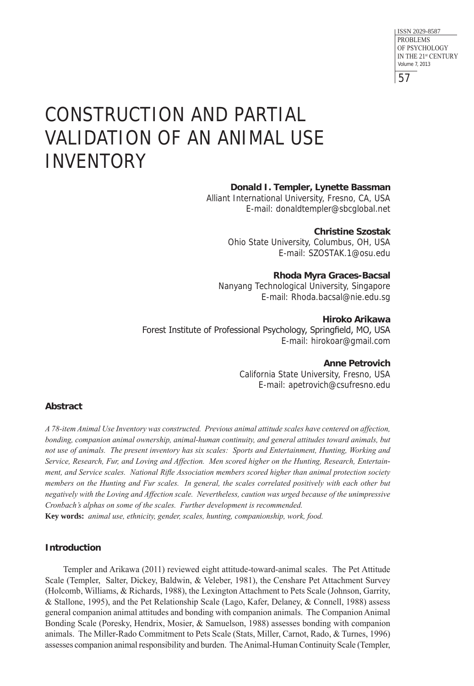57 ISSN 2029-8587 PROBLEMS OF PSYCHOLOGY IN THE 21st CENTURY Volume 7, 2013

# CONSTRUCTION AND PARTIAL VALIDATION OF AN ANIMAL USE INVENTORY

#### **Donald I. Templer, Lynette Bassman**

Alliant International University, Fresno, CA, USA E-mail: donaldtempler@sbcglobal .net

> **Christine Szostak** Ohio State University, Columbus, OH, USA E-mail: SZOSTAK .1@osu .edu

**Rhoda Myra Graces-Bacsal** Nanyang Technological University, Singapore E-mail: Rhoda .bacsal@nie .edu .sg

**Hiroko Arikawa** Forest Institute of Professional Psychology, Springfield, MO, USA E-mail: hirokoar@gmail .com

**Anne Petrovich**

California State University, Fresno, USA E-mail: apetrovich@csufresno .edu

# **Abstract**

*A 78-item Animal Use Inventory was constructed. Previous animal attitude scales have centered on affection, bonding, companion animal ownership, animal-human continuity, and general attitudes toward animals, but not use of animals. The present inventory has six scales: Sports and Entertainment, Hunting, Working and Service, Research, Fur, and Loving and Affection. Men scored higher on the Hunting, Research, Entertainment, and Service scales. National Rifle Association members scored higher than animal protection society members on the Hunting and Fur scales. In general, the scales correlated positively with each other but negatively with the Loving and Affection scale. Nevertheless, caution was urged because of the unimpressive Cronbach's alphas on some of the scales. Further development is recommended.*

**Key words:** *animal use, ethnicity, gender, scales, hunting, companionship, work, food.* 

# **Introduction**

Templer and Arikawa (2011) reviewed eight attitude-toward-animal scales. The Pet Attitude Scale (Templer, Salter, Dickey, Baldwin, & Veleber, 1981), the Censhare Pet Attachment Survey (Holcomb, Williams, & Richards, 1988), the Lexington Attachment to Pets Scale (Johnson, Garrity, & Stallone, 1995), and the Pet Relationship Scale (Lago, Kafer, Delaney, & Connell, 1988) assess general companion animal attitudes and bonding with companion animals. The Companion Animal Bonding Scale (Poresky, Hendrix, Mosier, & Samuelson, 1988) assesses bonding with companion animals. The Miller-Rado Commitment to Pets Scale (Stats, Miller, Carnot, Rado, & Turnes, 1996) assesses companion animal responsibility and burden. The Animal-Human Continuity Scale (Templer,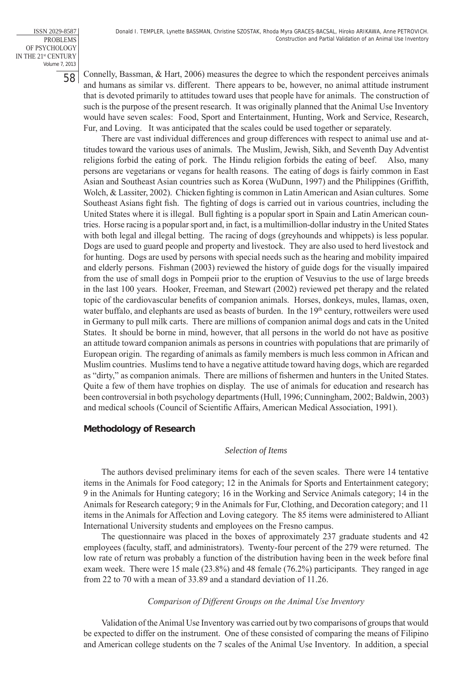ISSN 2029-8587 PROBLEMS OF PSYCHOLOGY IN THE 21<sup>st</sup> CENTURY Volume 7, 2013

58

Connelly, Bassman, & Hart, 2006) measures the degree to which the respondent perceives animals and humans as similar vs. different. There appears to be, however, no animal attitude instrument that is devoted primarily to attitudes toward uses that people have for animals. The construction of such is the purpose of the present research. It was originally planned that the Animal Use Inventory would have seven scales: Food, Sport and Entertainment, Hunting, Work and Service, Research, Fur, and Loving. It was anticipated that the scales could be used together or separately.

There are vast individual differences and group differences with respect to animal use and attitudes toward the various uses of animals. The Muslim, Jewish, Sikh, and Seventh Day Adventist religions forbid the eating of pork. The Hindu religion forbids the eating of beef. Also, many persons are vegetarians or vegans for health reasons. The eating of dogs is fairly common in East Asian and Southeast Asian countries such as Korea (WuDunn, 1997) and the Philippines (Griffith, Wolch, & Lassiter, 2002). Chicken fighting is common in Latin American and Asian cultures. Some Southeast Asians fight fish. The fighting of dogs is carried out in various countries, including the United States where it is illegal. Bull fighting is a popular sport in Spain and Latin American countries. Horse racing is a popular sport and, in fact, is a multimillion-dollar industry in the United States with both legal and illegal betting. The racing of dogs (greyhounds and whippets) is less popular. Dogs are used to guard people and property and livestock. They are also used to herd livestock and for hunting. Dogs are used by persons with special needs such as the hearing and mobility impaired and elderly persons. Fishman (2003) reviewed the history of guide dogs for the visually impaired from the use of small dogs in Pompeii prior to the eruption of Vesuvius to the use of large breeds in the last 100 years. Hooker, Freeman, and Stewart (2002) reviewed pet therapy and the related topic of the cardiovascular benefits of companion animals. Horses, donkeys, mules, llamas, oxen, water buffalo, and elephants are used as beasts of burden. In the  $19<sup>th</sup>$  century, rottweilers were used in Germany to pull milk carts. There are millions of companion animal dogs and cats in the United States. It should be borne in mind, however, that all persons in the world do not have as positive an attitude toward companion animals as persons in countries with populations that are primarily of European origin. The regarding of animals as family members is much less common in African and Muslim countries. Muslims tend to have a negative attitude toward having dogs, which are regarded as "dirty," as companion animals. There are millions of fishermen and hunters in the United States. Quite a few of them have trophies on display. The use of animals for education and research has been controversial in both psychology departments (Hull, 1996; Cunningham, 2002; Baldwin, 2003) and medical schools (Council of Scientific Affairs, American Medical Association, 1991).

# **Methodology of Research**

#### *Selection of Items*

The authors devised preliminary items for each of the seven scales. There were 14 tentative items in the Animals for Food category; 12 in the Animals for Sports and Entertainment category; 9 in the Animals for Hunting category; 16 in the Working and Service Animals category; 14 in the Animals for Research category; 9 in the Animals for Fur, Clothing, and Decoration category; and 11 items in the Animals for Affection and Loving category. The 85 items were administered to Alliant International University students and employees on the Fresno campus.

The questionnaire was placed in the boxes of approximately 237 graduate students and 42 employees (faculty, staff, and administrators). Twenty-four percent of the 279 were returned. The low rate of return was probably a function of the distribution having been in the week before final exam week. There were 15 male (23.8%) and 48 female (76.2%) participants. They ranged in age from 22 to 70 with a mean of 33.89 and a standard deviation of 11.26.

#### *Comparison of Different Groups on the Animal Use Inventory*

Validation of the Animal Use Inventory was carried out by two comparisons of groups that would be expected to differ on the instrument. One of these consisted of comparing the means of Filipino and American college students on the 7 scales of the Animal Use Inventory. In addition, a special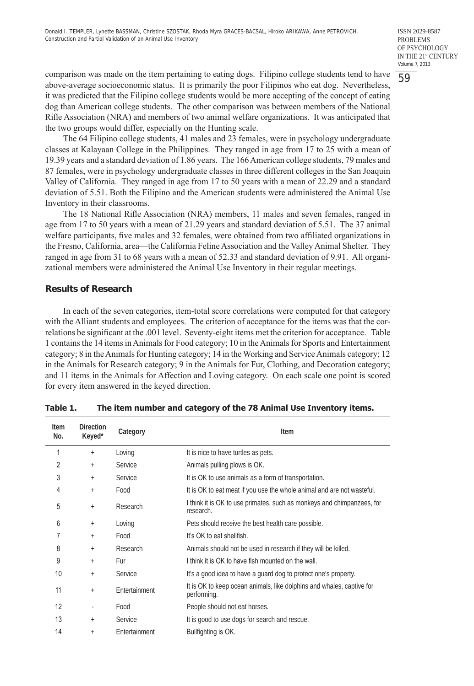59 ISSN 2029-8587 PROBLEMS OF PSYCHOLOGY IN THE 21st CENTURY Volume 7, 2013

comparison was made on the item pertaining to eating dogs. Filipino college students tend to have above-average socioeconomic status. It is primarily the poor Filipinos who eat dog. Nevertheless, it was predicted that the Filipino college students would be more accepting of the concept of eating dog than American college students. The other comparison was between members of the National Rifle Association (NRA) and members of two animal welfare organizations. It was anticipated that the two groups would differ, especially on the Hunting scale.

The 64 Filipino college students, 41 males and 23 females, were in psychology undergraduate classes at Kalayaan College in the Philippines. They ranged in age from 17 to 25 with a mean of 19.39 years and a standard deviation of 1.86 years. The 166 American college students, 79 males and 87 females, were in psychology undergraduate classes in three different colleges in the San Joaquin Valley of California. They ranged in age from 17 to 50 years with a mean of 22.29 and a standard deviation of 5.51. Both the Filipino and the American students were administered the Animal Use Inventory in their classrooms.

The 18 National Rifle Association (NRA) members, 11 males and seven females, ranged in age from 17 to 50 years with a mean of 21.29 years and standard deviation of 5.51. The 37 animal welfare participants, five males and 32 females, were obtained from two affiliated organizations in the Fresno, California, area—the California Feline Association and the Valley Animal Shelter. They ranged in age from 31 to 68 years with a mean of 52.33 and standard deviation of 9.91. All organizational members were administered the Animal Use Inventory in their regular meetings.

#### **Results of Research**

In each of the seven categories, item-total score correlations were computed for that category with the Alliant students and employees. The criterion of acceptance for the items was that the correlations be significant at the .001 level. Seventy-eight items met the criterion for acceptance. Table 1 contains the 14 items in Animals for Food category; 10 in the Animals for Sports and Entertainment category; 8 in the Animals for Hunting category; 14 in the Working and Service Animals category; 12 in the Animals for Research category; 9 in the Animals for Fur, Clothing, and Decoration category; and 11 items in the Animals for Affection and Loving category. On each scale one point is scored for every item answered in the keyed direction.

| <b>Item</b><br>No. | <b>Direction</b><br>Keyed* | Category      | Item                                                                                 |
|--------------------|----------------------------|---------------|--------------------------------------------------------------------------------------|
| 1                  | $+$                        | Loving        | It is nice to have turtles as pets.                                                  |
| 2                  | $+$                        | Service       | Animals pulling plows is OK.                                                         |
| 3                  | $+$                        | Service       | It is OK to use animals as a form of transportation.                                 |
| 4                  | $+$                        | Food          | It is OK to eat meat if you use the whole animal and are not wasteful.               |
| 5                  | $+$                        | Research      | I think it is OK to use primates, such as monkeys and chimpanzees, for<br>research.  |
| 6                  | $+$                        | Loving        | Pets should receive the best health care possible.                                   |
| 7                  | $+$                        | Food          | It's OK to eat shellfish.                                                            |
| 8                  | $+$                        | Research      | Animals should not be used in research if they will be killed.                       |
| 9                  | $+$                        | Fur           | I think it is OK to have fish mounted on the wall.                                   |
| 10                 | $+$                        | Service       | It's a good idea to have a guard dog to protect one's property.                      |
| 11                 | $+$                        | Entertainment | It is OK to keep ocean animals, like dolphins and whales, captive for<br>performing. |
| 12                 | ٠                          | Food          | People should not eat horses.                                                        |
| 13                 | $+$                        | Service       | It is good to use dogs for search and rescue.                                        |
| 14                 | $+$                        | Entertainment | Bullfighting is OK.                                                                  |

| The item number and category of the 78 Animal Use Inventory items. | Table 1. |  |  |  |
|--------------------------------------------------------------------|----------|--|--|--|
|--------------------------------------------------------------------|----------|--|--|--|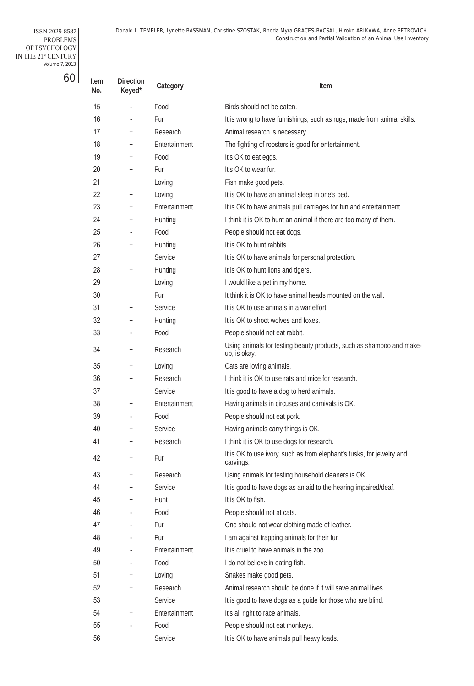Donald I. TEMPLER, Lynette BASSMAN, Christine SZOSTAK, Rhoda Myra GRACES-BACSAL, Hiroko ARIKAWA, Anne PETROVICH. Construction and Partial Validation of an Animal Use Inventory

ISSN 2029-8587 PROBLEMS OF PSYCHOLOGY IN THE 21<sup>st</sup> CENTURY Volume 7, 2013

| Item<br>No. | <b>Direction</b><br>Keyed* | Category      | Item                                                                                 |
|-------------|----------------------------|---------------|--------------------------------------------------------------------------------------|
| 15          |                            | Food          | Birds should not be eaten.                                                           |
| 16          |                            | Fur           | It is wrong to have furnishings, such as rugs, made from animal skills.              |
| 17          | $\ddag$                    | Research      | Animal research is necessary.                                                        |
| 18          | $\ddag$                    | Entertainment | The fighting of roosters is good for entertainment.                                  |
| 19          | $\ddag$                    | Food          | It's OK to eat eggs.                                                                 |
| 20          | $\ddag$                    | Fur           | It's OK to wear fur.                                                                 |
| 21          | $^{+}$                     | Loving        | Fish make good pets.                                                                 |
| 22          | $^{+}$                     | Loving        | It is OK to have an animal sleep in one's bed.                                       |
| 23          | $^{+}$                     | Entertainment | It is OK to have animals pull carriages for fun and entertainment.                   |
| 24          | $^{+}$                     | Hunting       | I think it is OK to hunt an animal if there are too many of them.                    |
| 25          |                            | Food          | People should not eat dogs.                                                          |
| 26          | $^{+}$                     | Hunting       | It is OK to hunt rabbits.                                                            |
| 27          | $^{+}$                     | Service       | It is OK to have animals for personal protection.                                    |
| 28          | $^{+}$                     | Hunting       | It is OK to hunt lions and tigers.                                                   |
| 29          |                            | Loving        | I would like a pet in my home.                                                       |
| 30          | $\ddag$                    | Fur           | It think it is OK to have animal heads mounted on the wall.                          |
| 31          | $\overline{+}$             | Service       | It is OK to use animals in a war effort.                                             |
| 32          | $\overline{+}$             | Hunting       | It is OK to shoot wolves and foxes.                                                  |
| 33          |                            | Food          | People should not eat rabbit.                                                        |
| 34          | $\overline{+}$             | Research      | Using animals for testing beauty products, such as shampoo and make-<br>up, is okay. |
| 35          | $^{+}$                     | Loving        | Cats are loving animals.                                                             |
| 36          | $\overline{+}$             | Research      | I think it is OK to use rats and mice for research.                                  |
| 37          | $^{+}$                     | Service       | It is good to have a dog to herd animals.                                            |
| 38          | $^{+}$                     | Entertainment | Having animals in circuses and carnivals is OK.                                      |
| 39          |                            | Food          | People should not eat pork.                                                          |
| 40          | $\overline{+}$             | Service       | Having animals carry things is OK.                                                   |
| 41          |                            | Research      | I think it is OK to use dogs for research.                                           |
| 42          | $\ddot{}$                  | Fur           | It is OK to use ivory, such as from elephant's tusks, for jewelry and<br>carvings.   |
| 43          | $^{+}$                     | Research      | Using animals for testing household cleaners is OK.                                  |
| 44          | $^{+}$                     | Service       | It is good to have dogs as an aid to the hearing impaired/deaf.                      |
| 45          | $^{+}$                     | Hunt          | It is OK to fish.                                                                    |
| 46          |                            | Food          | People should not at cats.                                                           |
| 47          | ÷                          | Fur           | One should not wear clothing made of leather.                                        |
| 48          |                            | Fur           | I am against trapping animals for their fur.                                         |
| 49          |                            | Entertainment | It is cruel to have animals in the zoo.                                              |
| 50          |                            | Food          | I do not believe in eating fish.                                                     |
| 51          | $\overline{+}$             | Loving        | Snakes make good pets.                                                               |
| 52          | $^{+}$                     | Research      | Animal research should be done if it will save animal lives.                         |
| 53          | $\overline{+}$             | Service       | It is good to have dogs as a guide for those who are blind.                          |
| 54          | $\overline{+}$             | Entertainment | It's all right to race animals.                                                      |
| 55          |                            | Food          | People should not eat monkeys.                                                       |
| 56          | $^{+}$                     | Service       | It is OK to have animals pull heavy loads.                                           |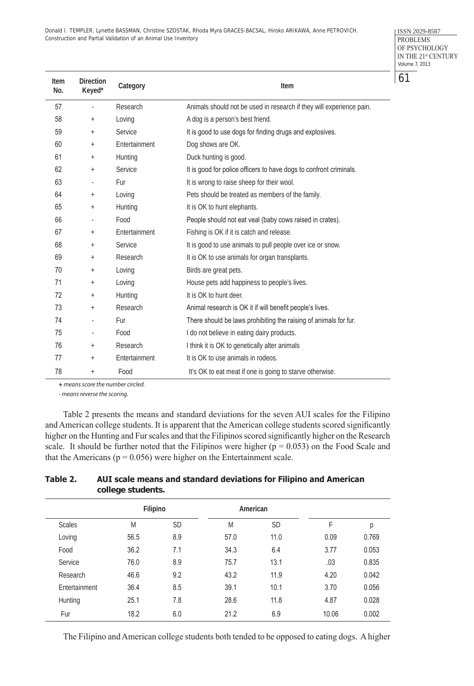Donald I. TEMPLER, Lynette BASSMAN, Christine SZOSTAK, Rhoda Myra GRACES-BACSAL, Hiroko ARIKAWA, Anne PETROVICH. Construction and Partial Validation of an Animal Use Inventory

ISSN 2029-8587 PROBLEMS OF PSYCHOLOGY IN THE 21<sup>st</sup> CENTURY Volume 7, 2013

| Item<br>No. | <b>Direction</b><br>Keyed* | Category      | Item                                                                 |  |
|-------------|----------------------------|---------------|----------------------------------------------------------------------|--|
| 57          | $\blacksquare$             | Research      | Animals should not be used in research if they will experience pain. |  |
| 58          | $\ddot{}$                  | Loving        | A dog is a person's best friend.                                     |  |
| 59          | $\qquad \qquad +$          | Service       | It is good to use dogs for finding drugs and explosives.             |  |
| 60          | $\qquad \qquad +$          | Entertainment | Dog shows are OK.                                                    |  |
| 61          | $\qquad \qquad +$          | Hunting       | Duck hunting is good.                                                |  |
| 62          | $\qquad \qquad +$          | Service       | It is good for police officers to have dogs to confront criminals.   |  |
| 63          | $\overline{\phantom{a}}$   | Fur           | It is wrong to raise sheep for their wool.                           |  |
| 64          | $\qquad \qquad +$          | Loving        | Pets should be treated as members of the family.                     |  |
| 65          | $\qquad \qquad +$          | Hunting       | It is OK to hunt elephants.                                          |  |
| 66          | $\overline{\phantom{a}}$   | Food          | People should not eat veal (baby cows raised in crates).             |  |
| 67          | $\ddot{}$                  | Entertainment | Fishing is OK if it is catch and release.                            |  |
| 68          | $\ddot{}$                  | Service       | It is good to use animals to pull people over ice or snow.           |  |
| 69          | $\qquad \qquad +$          | Research      | It is OK to use animals for organ transplants.                       |  |
| 70          | $^+$                       | Loving        | Birds are great pets.                                                |  |
| 71          | $\ddot{}$                  | Loving        | House pets add happiness to people's lives.                          |  |
| 72          | $^+$                       | Hunting       | It is OK to hunt deer.                                               |  |
| 73          | $\ddot{}$                  | Research      | Animal research is OK it if will benefit people's lives.             |  |
| 74          | ÷,                         | Fur           | There should be laws prohibiting the raising of animals for fur.     |  |
| 75          | $\overline{\phantom{a}}$   | Food          | I do not believe in eating dairy products.                           |  |
| 76          | $\ddot{}$                  | Research      | I think it is OK to genetically alter animals                        |  |
| 77          | $\qquad \qquad +$          | Entertainment | It is OK to use animals in rodeos.                                   |  |
| 78          | $\qquad \qquad +$          | Food          | It's OK to eat meat if one is going to starve otherwise.             |  |

**+** *means score the number circled.*

*- means reverse the scoring.*

Table 2 presents the means and standard deviations for the seven AUI scales for the Filipino and American college students. It is apparent that the American college students scored significantly higher on the Hunting and Fur scales and that the Filipinos scored significantly higher on the Research scale. It should be further noted that the Filipinos were higher  $(p = 0.053)$  on the Food Scale and that the Americans ( $p = 0.056$ ) were higher on the Entertainment scale.

| Table 2. | AUI scale means and standard deviations for Filipino and American |
|----------|-------------------------------------------------------------------|
|          | college students.                                                 |

|               | Filipino |           |      | American |       |       |
|---------------|----------|-----------|------|----------|-------|-------|
| <b>Scales</b> | M        | <b>SD</b> | M    | SD       | F     | р     |
| Loving        | 56.5     | 8.9       | 57.0 | 11.0     | 0.09  | 0.769 |
| Food          | 36.2     | 7.1       | 34.3 | 6.4      | 3.77  | 0.053 |
| Service       | 76.0     | 8.9       | 75.7 | 13.1     | .03   | 0.835 |
| Research      | 46.6     | 9.2       | 43.2 | 11.9     | 4.20  | 0.042 |
| Entertainment | 36.4     | 8.5       | 39.1 | 10.1     | 3.70  | 0.056 |
| Hunting       | 25.1     | 7.8       | 28.6 | 11.8     | 4.87  | 0.028 |
| Fur           | 18.2     | 6.0       | 21.2 | 6.9      | 10.06 | 0.002 |

The Filipino and American college students both tended to be opposed to eating dogs. A higher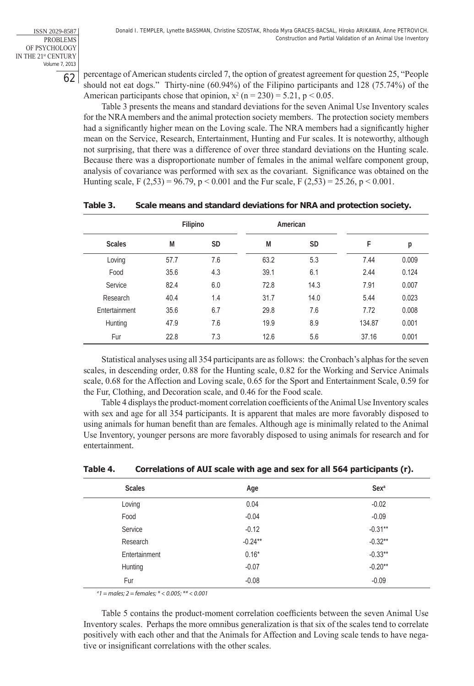ISSN 2029-8587 PROBLEMS OF PSYCHOLOGY IN THE 21st CENTURY Volume 7, 2013

62

percentage of American students circled 7, the option of greatest agreement for question 25, "People should not eat dogs." Thirty-nine (60.94%) of the Filipino participants and 128 (75.74%) of the American participants chose that opinion,  $x^2$  (n = 230) = 5.21, p < 0.05.

Table 3 presents the means and standard deviations for the seven Animal Use Inventory scales for the NRA members and the animal protection society members. The protection society members had a significantly higher mean on the Loving scale. The NRA members had a significantly higher mean on the Service, Research, Entertainment, Hunting and Fur scales. It is noteworthy, although not surprising, that there was a difference of over three standard deviations on the Hunting scale. Because there was a disproportionate number of females in the animal welfare component group, analysis of covariance was performed with sex as the covariant. Significance was obtained on the Hunting scale, F (2,53) = 96.79, p < 0.001 and the Fur scale, F (2,53) = 25.26, p < 0.001.

|               | Filipino |           | American |           |        |       |
|---------------|----------|-----------|----------|-----------|--------|-------|
| <b>Scales</b> | M        | <b>SD</b> | M        | <b>SD</b> | F      | р     |
| Loving        | 57.7     | 7.6       | 63.2     | 5.3       | 7.44   | 0.009 |
| Food          | 35.6     | 4.3       | 39.1     | 6.1       | 2.44   | 0.124 |
| Service       | 82.4     | 6.0       | 72.8     | 14.3      | 7.91   | 0.007 |
| Research      | 40.4     | 1.4       | 31.7     | 14.0      | 5.44   | 0.023 |
| Entertainment | 35.6     | 6.7       | 29.8     | 7.6       | 7.72   | 0.008 |
| Hunting       | 47.9     | 7.6       | 19.9     | 8.9       | 134.87 | 0.001 |
| Fur           | 22.8     | 7.3       | 12.6     | 5.6       | 37.16  | 0.001 |

#### **Table 3. Scale means and standard deviations for NRA and protection society.**

Statistical analyses using all 354 participants are as follows: the Cronbach's alphas for the seven scales, in descending order, 0.88 for the Hunting scale, 0.82 for the Working and Service Animals scale, 0.68 for the Affection and Loving scale, 0.65 for the Sport and Entertainment Scale, 0.59 for the Fur, Clothing, and Decoration scale, and 0.46 for the Food scale.

Table 4 displays the product-moment correlation coefficients of the Animal Use Inventory scales with sex and age for all 354 participants. It is apparent that males are more favorably disposed to using animals for human benefit than are females. Although age is minimally related to the Animal Use Inventory, younger persons are more favorably disposed to using animals for research and for entertainment.

| <b>Scales</b> | Age       | Sex <sup>a</sup> |
|---------------|-----------|------------------|
| Loving        | 0.04      | $-0.02$          |
| Food          | $-0.04$   | $-0.09$          |
| Service       | $-0.12$   | $-0.31**$        |
| Research      | $-0.24**$ | $-0.32**$        |
| Entertainment | $0.16*$   | $-0.33**$        |
| Hunting       | $-0.07$   | $-0.20**$        |
| Fur           | $-0.08$   | $-0.09$          |

#### **Table 4. Correlations of AUI scale with age and sex for all 564 participants (r).**

*a 1 = males; 2 = females; \* < 0.005; \*\* < 0.001*

Table 5 contains the product-moment correlation coefficients between the seven Animal Use Inventory scales. Perhaps the more omnibus generalization is that six of the scales tend to correlate positively with each other and that the Animals for Affection and Loving scale tends to have negative or insignificant correlations with the other scales.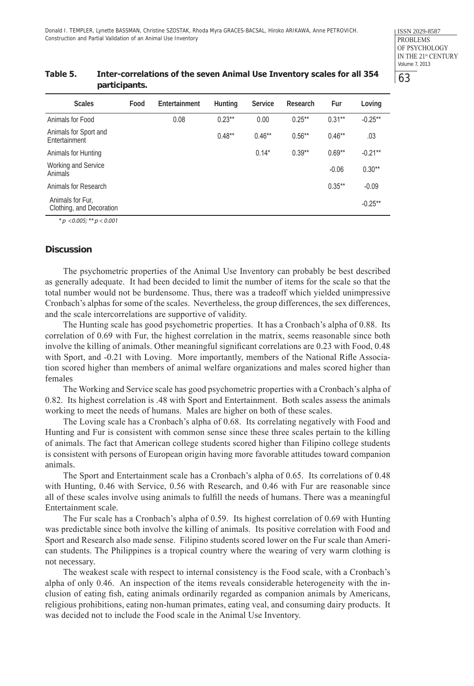| participants.                                |      |               |          |          |           |           |            |
|----------------------------------------------|------|---------------|----------|----------|-----------|-----------|------------|
| <b>Scales</b>                                | Food | Entertainment | Hunting  | Service  | Research  | Fur       | Loving     |
| Animals for Food                             |      | 0.08          | $0.23**$ | 0.00     | $0.25***$ | $0.31**$  | $-0.25**$  |
| Animals for Sport and<br>Entertainment       |      |               | $0.48**$ | $0.46**$ | $0.56**$  | $0.46**$  | .03        |
| Animals for Hunting                          |      |               |          | $0.14*$  | $0.39**$  | $0.69**$  | $-0.21***$ |
| Working and Service<br><b>Animals</b>        |      |               |          |          |           | $-0.06$   | $0.30**$   |
| Animals for Research                         |      |               |          |          |           | $0.35***$ | $-0.09$    |
| Animals for Fur,<br>Clothing, and Decoration |      |               |          |          |           |           | $-0.25***$ |
|                                              |      |               |          |          |           |           |            |

# **Table 5. Inter-correlations of the seven Animal Use Inventory scales for all 354**

*\* p <0.005; \*\* p < 0.001*

#### **Discussion**

The psychometric properties of the Animal Use Inventory can probably be best described as generally adequate. It had been decided to limit the number of items for the scale so that the total number would not be burdensome. Thus, there was a tradeoff which yielded unimpressive Cronbach's alphas for some of the scales. Nevertheless, the group differences, the sex differences, and the scale intercorrelations are supportive of validity.

The Hunting scale has good psychometric properties. It has a Cronbach's alpha of 0.88. Its correlation of 0.69 with Fur, the highest correlation in the matrix, seems reasonable since both involve the killing of animals. Other meaningful significant correlations are 0.23 with Food, 0.48 with Sport, and -0.21 with Loving. More importantly, members of the National Rifle Association scored higher than members of animal welfare organizations and males scored higher than females

The Working and Service scale has good psychometric properties with a Cronbach's alpha of 0.82. Its highest correlation is .48 with Sport and Entertainment. Both scales assess the animals working to meet the needs of humans. Males are higher on both of these scales.

The Loving scale has a Cronbach's alpha of 0.68. Its correlating negatively with Food and Hunting and Fur is consistent with common sense since these three scales pertain to the killing of animals. The fact that American college students scored higher than Filipino college students is consistent with persons of European origin having more favorable attitudes toward companion animals.

The Sport and Entertainment scale has a Cronbach's alpha of 0.65. Its correlations of 0.48 with Hunting, 0.46 with Service, 0.56 with Research, and 0.46 with Fur are reasonable since all of these scales involve using animals to fulfill the needs of humans. There was a meaningful Entertainment scale.

The Fur scale has a Cronbach's alpha of 0.59. Its highest correlation of 0.69 with Hunting was predictable since both involve the killing of animals. Its positive correlation with Food and Sport and Research also made sense. Filipino students scored lower on the Fur scale than American students. The Philippines is a tropical country where the wearing of very warm clothing is not necessary.

The weakest scale with respect to internal consistency is the Food scale, with a Cronbach's alpha of only 0.46. An inspection of the items reveals considerable heterogeneity with the inclusion of eating fish, eating animals ordinarily regarded as companion animals by Americans, religious prohibitions, eating non-human primates, eating veal, and consuming dairy products. It was decided not to include the Food scale in the Animal Use Inventory.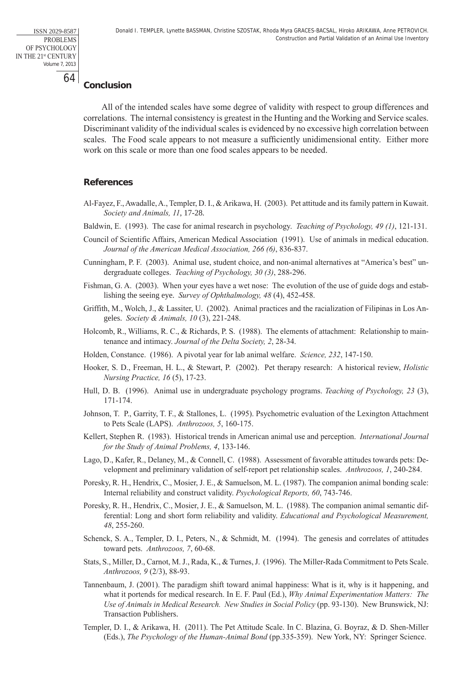# **Conclusion**

All of the intended scales have some degree of validity with respect to group differences and correlations. The internal consistency is greatest in the Hunting and the Working and Service scales. Discriminant validity of the individual scales is evidenced by no excessive high correlation between scales. The Food scale appears to not measure a sufficiently unidimensional entity. Either more work on this scale or more than one food scales appears to be needed.

#### **References**

- Al-Fayez, F., Awadalle, A., Templer, D. I., & Arikawa, H. (2003). Pet attitude and its family pattern in Kuwait. *Society and Animals, 11*, 17-28.
- Baldwin, E. (1993). The case for animal research in psychology. *Teaching of Psychology, 49 (1)*, 121-131.
- Council of Scientific Affairs, American Medical Association (1991). Use of animals in medical education. *Journal of the American Medical Association, 266 (6)*, 836-837.
- Cunningham, P. F. (2003). Animal use, student choice, and non-animal alternatives at "America's best" undergraduate colleges. *Teaching of Psychology, 30 (3)*, 288-296.
- Fishman, G. A. (2003). When your eyes have a wet nose: The evolution of the use of guide dogs and establishing the seeing eye. *Survey of Ophthalmology, 48* (4), 452-458.
- Griffith, M., Wolch, J., & Lassiter, U. (2002). Animal practices and the racialization of Filipinas in Los Angeles. *Society & Animals, 10* (3), 221-248.
- Holcomb, R., Williams, R. C., & Richards, P. S. (1988). The elements of attachment: Relationship to maintenance and intimacy. *Journal of the Delta Society, 2*, 28-34.
- Holden, Constance. (1986). A pivotal year for lab animal welfare. *Science, 232*, 147-150.
- Hooker, S. D., Freeman, H. L., & Stewart, P. (2002). Pet therapy research: A historical review, *Holistic Nursing Practice, 16* (5), 17-23.
- Hull, D. B. (1996). Animal use in undergraduate psychology programs. *Teaching of Psychology, 23* (3), 171-174.
- Johnson, T. P., Garrity, T. F., & Stallones, L. (1995). Psychometric evaluation of the Lexington Attachment to Pets Scale (LAPS). *Anthrozoos, 5*, 160-175.
- Kellert, Stephen R. (1983). Historical trends in American animal use and perception. *International Journal for the Study of Animal Problems, 4*, 133-146.
- Lago, D., Kafer, R., Delaney, M., & Connell, C. (1988). Assessment of favorable attitudes towards pets: Development and preliminary validation of self-report pet relationship scales. *Anthrozoos, 1*, 240-284.
- Poresky, R. H., Hendrix, C., Mosier, J. E., & Samuelson, M. L. (1987). The companion animal bonding scale: Internal reliability and construct validity. *Psychological Reports, 60*, 743-746.
- Poresky, R. H., Hendrix, C., Mosier, J. E., & Samuelson, M. L. (1988). The companion animal semantic differential: Long and short form reliability and validity. *Educational and Psychological Measurement, 48*, 255-260.
- Schenck, S. A., Templer, D. I., Peters, N., & Schmidt, M. (1994). The genesis and correlates of attitudes toward pets. *Anthrozoos, 7*, 60-68.
- Stats, S., Miller, D., Carnot, M. J., Rada, K., & Turnes, J. (1996). The Miller-Rada Commitment to Pets Scale. *Anthrozoos, 9* (2/3), 88-93.
- Tannenbaum, J. (2001). The paradigm shift toward animal happiness: What is it, why is it happening, and what it portends for medical research. In E. F. Paul (Ed.), *Why Animal Experimentation Matters: The Use of Animals in Medical Research. New Studies in Social Policy* (pp. 93-130). New Brunswick, NJ: Transaction Publishers.
- Templer, D. I., & Arikawa, H. (2011). The Pet Attitude Scale. In C. Blazina, G. Boyraz, & D. Shen-Miller (Eds.), *The Psychology of the Human-Animal Bond* (pp.335-359). New York, NY: Springer Science.